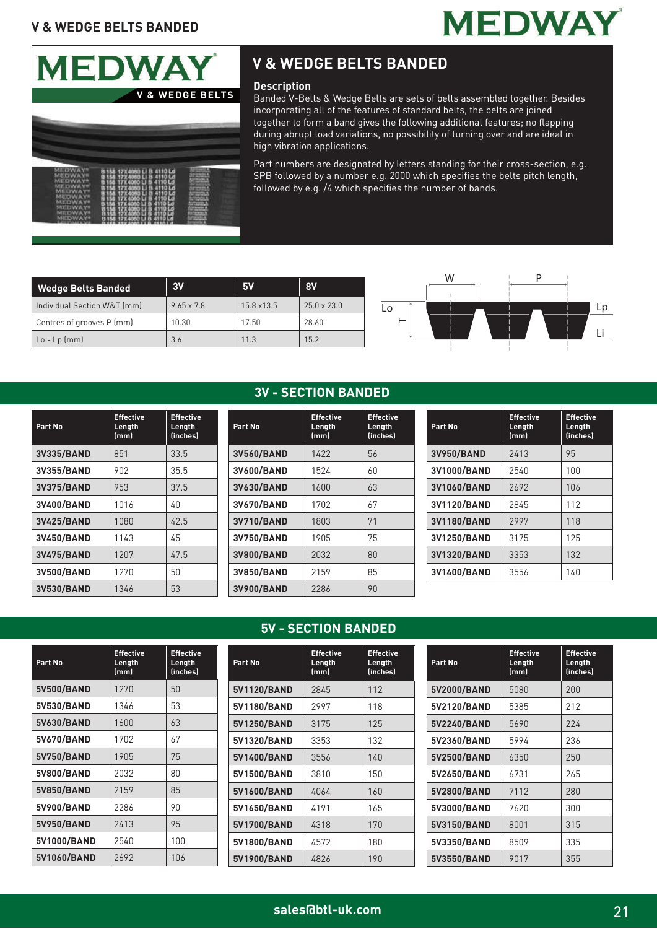



### **V & WEDGE BELTS BANDED**

#### **Description**

Banded V-Belts & Wedge Belts are sets of belts assembled together. Besides incorporating all of the features of standard belts, the belts are joined together to form a band gives the following additional features; no flapping during abrupt load variations, no possibility of turning over and are ideal in high vibration applications.

Part numbers are designated by letters standing for their cross-section, e.g. SPB followed by a number e.g. 2000 which specifies the belts pitch length, followed by e.g. /4 which specifies the number of bands.

| Wedge Belts Banded          | 3V                | <b>5V</b>  | 8V                 |
|-----------------------------|-------------------|------------|--------------------|
| Individual Section W&T (mm) | $9.65 \times 7.8$ | 15.8 x13.5 | $25.0 \times 23.0$ |
| Centres of grooves P (mm)   | 10.30             | 17.50      | 28.60              |
| $ $ Lo - Lp (mm)            | 3.6               | 11.3       | 15.2               |



| Part No           | <b>Effective</b><br>Length<br>(mm) | <b>Effective</b><br>Length<br>(inches) |
|-------------------|------------------------------------|----------------------------------------|
| <b>3V335/BAND</b> | 851                                | 33.5                                   |
| <b>3V355/BAND</b> | 902                                | 35.5                                   |
| <b>3V375/BAND</b> | 953                                | 37.5                                   |
| 3V400/BAND        | 1016                               | 40                                     |
| <b>3V425/BAND</b> | 1080                               | 42.5                                   |
| 3V450/BAND        | 1143                               | 45                                     |
| 3V475/BAND        | 1207                               | 47.5                                   |
| 3V500/BAND        | 1270                               | 50                                     |
| <b>3V530/BAND</b> | 1346                               | 53                                     |

#### **3V - SECTION BANDED**

| Part No           | <b>Effective</b><br>Length<br>(mm) | <b>Effective</b><br>Length<br>(inches) |
|-------------------|------------------------------------|----------------------------------------|
| 3V560/BAND        | 1422                               | 56                                     |
| 3V600/BAND        | 1524                               | 60                                     |
| 3V630/BAND        | 1600                               | 63                                     |
| 3V670/BAND        | 1702                               | 67                                     |
| <b>3V710/BAND</b> | 1803                               | 71                                     |
| 3V750/BAND        | 1905                               | 75                                     |
| <b>3V800/BAND</b> | 2032                               | 80                                     |
| 3V850/BAND        | 2159                               | 85                                     |
| <b>3V900/BAND</b> | 2286                               | 90                                     |

| Part No     | <b>Effective</b><br>Length<br>(mm) | <b>Effective</b><br>Length<br>(inches) |
|-------------|------------------------------------|----------------------------------------|
| 3V950/BAND  | 2413                               | 95                                     |
| 3V1000/BAND | 2540                               | 100                                    |
| 3V1060/BAND | 2692                               | 106                                    |
| 3V1120/BAND | 2845                               | 112                                    |
| 3V1180/BAND | 2997                               | 118                                    |
| 3V1250/BAND | 3175                               | 125                                    |
| 3V1320/BAND | 3353                               | 132                                    |
| 3V1400/BAND | 3556                               | 140                                    |

#### **5V - SECTION BANDED**

| Part No     | <b>Effective</b><br>Length<br>(mm) | <b>Effective</b><br>Length<br><i>(inches)</i> | Part No     | <b>Effective</b><br>Length<br>(mm) | <b>Effective</b><br>Length<br><i>(inches)</i> | Part No     | <b>Effective</b><br>Length<br>(mm) | <b>Effective</b><br>Length<br>(inches) |
|-------------|------------------------------------|-----------------------------------------------|-------------|------------------------------------|-----------------------------------------------|-------------|------------------------------------|----------------------------------------|
| 5V500/BAND  | 1270                               | 50                                            | 5V1120/BAND | 2845                               | 112                                           | 5V2000/BAND | 5080                               | 200                                    |
| 5V530/BAND  | 1346                               | 53                                            | 5V1180/BAND | 2997                               | 118                                           | 5V2120/BAND | 5385                               | 212                                    |
| 5V630/BAND  | 1600                               | 63                                            | 5V1250/BAND | 3175                               | 125                                           | 5V2240/BAND | 5690                               | 224                                    |
| 5V670/BAND  | 1702                               | 67                                            | 5V1320/BAND | 3353                               | 132                                           | 5V2360/BAND | 5994                               | 236                                    |
| 5V750/BAND  | 1905                               | 75                                            | 5V1400/BAND | 3556                               | 140                                           | 5V2500/BAND | 6350                               | 250                                    |
| 5V800/BAND  | 2032                               | 80                                            | 5V1500/BAND | 3810                               | 150                                           | 5V2650/BAND | 6731                               | 265                                    |
| 5V850/BAND  | 2159                               | 85                                            | 5V1600/BAND | 4064                               | 160                                           | 5V2800/BAND | 7112                               | 280                                    |
| 5V900/BAND  | 2286                               | 90                                            | 5V1650/BAND | 4191                               | 165                                           | 5V3000/BAND | 7620                               | 300                                    |
| 5V950/BAND  | 2413                               | 95                                            | 5V1700/BAND | 4318                               | 170                                           | 5V3150/BAND | 8001                               | 315                                    |
| 5V1000/BAND | 2540                               | 100                                           | 5V1800/BAND | 4572                               | 180                                           | 5V3350/BAND | 8509                               | 335                                    |
| 5V1060/BAND | 2692                               | 106                                           | 5V1900/BAND | 4826                               | 190                                           | 5V3550/BAND | 9017                               | 355                                    |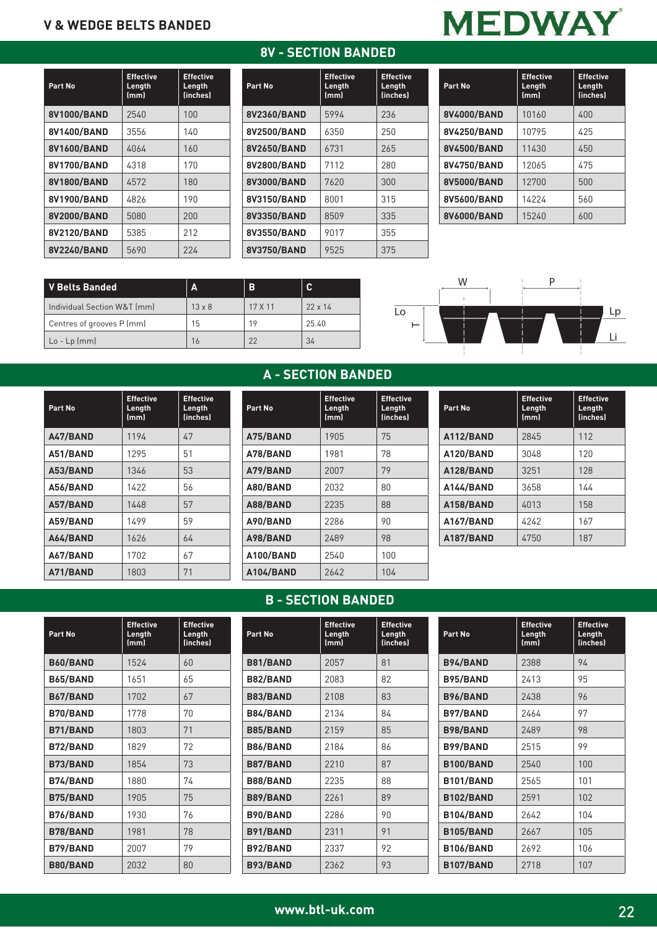#### **8V - SECTION BANDED**

| Part No     | <b>Effective</b><br>Length<br>(mm) | <b>Effective</b><br>Length<br>(inches) |
|-------------|------------------------------------|----------------------------------------|
| 8V1000/BAND | 2540                               | 100                                    |
| 8V1400/BAND | 3556                               | 140                                    |
| 8V1600/BAND | 4064                               | 160                                    |
| 8V1700/BAND | 4318                               | 170                                    |
| 8V1800/BAND | 4572                               | 180                                    |
| 8V1900/BAND | 4826                               | 190                                    |
| 8V2000/BAND | 5080                               | 200                                    |
| 8V2120/BAND | 5385                               | 212                                    |
| 8V2240/BAND | 5690                               | 224                                    |

| Part No     | <b>Effective</b><br>Length<br>(mm) | <b>Effective</b><br>Length<br>(inches) |
|-------------|------------------------------------|----------------------------------------|
| 8V2360/BAND | 5994                               | 236                                    |
| 8V2500/BAND | 6350                               | 250                                    |
| 8V2650/BAND | 6731                               | 265                                    |
| 8V2800/BAND | 7112                               | 280                                    |
| 8V3000/BAND | 7620                               | 300                                    |
| 8V3150/BAND | 8001                               | 315                                    |
| 8V3350/BAND | 8509                               | 335                                    |
| 8V3550/BAND | 9017                               | 355                                    |
| 8V3750/BAND | 9525                               | 375                                    |

| <b>MEDWAY</b> |  |
|---------------|--|
|               |  |

| Part No     | <b>Effective</b><br>Length<br>(mm) | <b>Effective</b><br>Length<br>(inches) |
|-------------|------------------------------------|----------------------------------------|
| 8V4000/BAND | 10160                              | 400                                    |
| 8V4250/BAND | 10795                              | 425                                    |
| 8V4500/BAND | 11430                              | 450                                    |
| 8V4750/BAND | 12065                              | 475                                    |
| 8V5000/BAND | 12700                              | 500                                    |
| 8V5600/BAND | 14224                              | 560                                    |
| 8V6000/BAND | 15240                              | 600                                    |

| V Belts Banded              | $\mathbf{A}$  | B       | C              |
|-----------------------------|---------------|---------|----------------|
| Individual Section W&T (mm) | $13 \times 8$ | 17 X 11 | $22 \times 14$ |
| Centres of grooves P (mm)   | 15            | 19      | 25.40          |
| $Lo$ - $Lp$ (mm)            | 16            | 22      | 34             |



| Part No  | <b>Effective</b><br>Length<br>(mm) | <b>Effective</b><br>Length<br>(inches) |
|----------|------------------------------------|----------------------------------------|
| A47/BAND | 1194                               | 47                                     |
| A51/BAND | 1295                               | 51                                     |
| A53/BAND | 1346                               | 53                                     |
| A56/BAND | 1422                               | 56                                     |
| A57/BAND | 1448                               | 57                                     |
| A59/BAND | 1499                               | 59                                     |
| A64/BAND | 1626                               | 64                                     |
| A67/BAND | 1702                               | 67                                     |
| A71/BAND | 1803                               | 71                                     |

## **A - SECTION BANDED**

| Part No   | <b>Effective</b><br>Length<br>(mm) | <b>Effective</b><br>Length<br>(inches) |
|-----------|------------------------------------|----------------------------------------|
| A75/BAND  | 1905                               | 75                                     |
| A78/BAND  | 1981                               | 78                                     |
| A79/BAND  | 2007                               | 79                                     |
| A80/BAND  | 2032                               | 80                                     |
| A88/BAND  | 2235                               | 88                                     |
| A90/BAND  | 2286                               | 90                                     |
| A98/BAND  | 2489                               | 98                                     |
| A100/BAND | 2540                               | 100                                    |
| A104/BAND | 2642                               | 104                                    |

| Part No   | <b>Effective</b><br>Length<br>(mm) | <b>Effective</b><br>Length<br>(inches) |
|-----------|------------------------------------|----------------------------------------|
| A112/BAND | 2845                               | 112                                    |
| A120/BAND | 3048                               | 120                                    |
| A128/BAND | 3251                               | 128                                    |
| A144/BAND | 3658                               | 144                                    |
| A158/BAND | 4013                               | 158                                    |
| A167/BAND | 4242                               | 167                                    |
| A187/BAND | 4750                               | 187                                    |

#### **B - SECTION BANDED**

| Part No         | <b>Effective</b><br>Length<br>(mm) | <b>Effective</b><br>Length<br>(inches) |
|-----------------|------------------------------------|----------------------------------------|
| B60/BAND        | 1524                               | 60                                     |
| <b>B65/BAND</b> | 1651                               | 65                                     |
| B67/BAND        | 1702                               | 67                                     |
| <b>B70/BAND</b> | 1778                               | 70                                     |
| <b>B71/BAND</b> | 1803                               | 71                                     |
| <b>B72/BAND</b> | 1829                               | 72                                     |
| <b>B73/BAND</b> | 1854                               | 73                                     |
| B74/BAND        | 1880                               | 74                                     |
| <b>B75/BAND</b> | 1905                               | 75                                     |
| <b>B76/BAND</b> | 1930                               | 76                                     |
| <b>B78/BAND</b> | 1981                               | 78                                     |
| <b>B79/BAND</b> | 2007                               | 79                                     |
| <b>B80/BAND</b> | 2032                               | 80                                     |

| Part No         | <b>Effective</b><br>Length<br>(mm) | <b>Effective</b><br>Length<br>(inches) |
|-----------------|------------------------------------|----------------------------------------|
| <b>B81/BAND</b> | 2057                               | 81                                     |
| <b>B82/BAND</b> | 2083                               | 82                                     |
| <b>B83/BAND</b> | 2108                               | 83                                     |
| <b>B84/BAND</b> | 2134                               | 84                                     |
| <b>B85/BAND</b> | 2159                               | 85                                     |
| <b>B86/BAND</b> | 2184                               | 86                                     |
| <b>B87/BAND</b> | 2210                               | 87                                     |
| <b>B88/BAND</b> | 2235                               | 88                                     |
| <b>B89/BAND</b> | 2261                               | 89                                     |
| B90/BAND        | 2286                               | 90                                     |
| <b>B91/BAND</b> | 2311                               | 91                                     |
| <b>B92/BAND</b> | 2337                               | 92                                     |
| <b>B93/BAND</b> | 2362                               | 93                                     |

| Part No          | <b>Effective</b><br>Length<br>(mm) | <b>Effective</b><br>Length<br>(inches) |
|------------------|------------------------------------|----------------------------------------|
| <b>B94/BAND</b>  | 2388                               | 94                                     |
| <b>B95/BAND</b>  | 2413                               | 95                                     |
| B96/BAND         | 2438                               | 96                                     |
| <b>B97/BAND</b>  | 2464                               | 97                                     |
| <b>B98/BAND</b>  | 2489                               | 98                                     |
| <b>B99/BAND</b>  | 2515                               | 99                                     |
| B100/BAND        | 2540                               | 100                                    |
| B101/BAND        | 2565                               | 101                                    |
| B102/BAND        | 2591                               | 102                                    |
| B104/BAND        | 2642                               | 104                                    |
| <b>B105/BAND</b> | 2667                               | 105                                    |
| <b>B106/BAND</b> | 2692                               | 106                                    |
| B107/BAND        | 2718                               | 107                                    |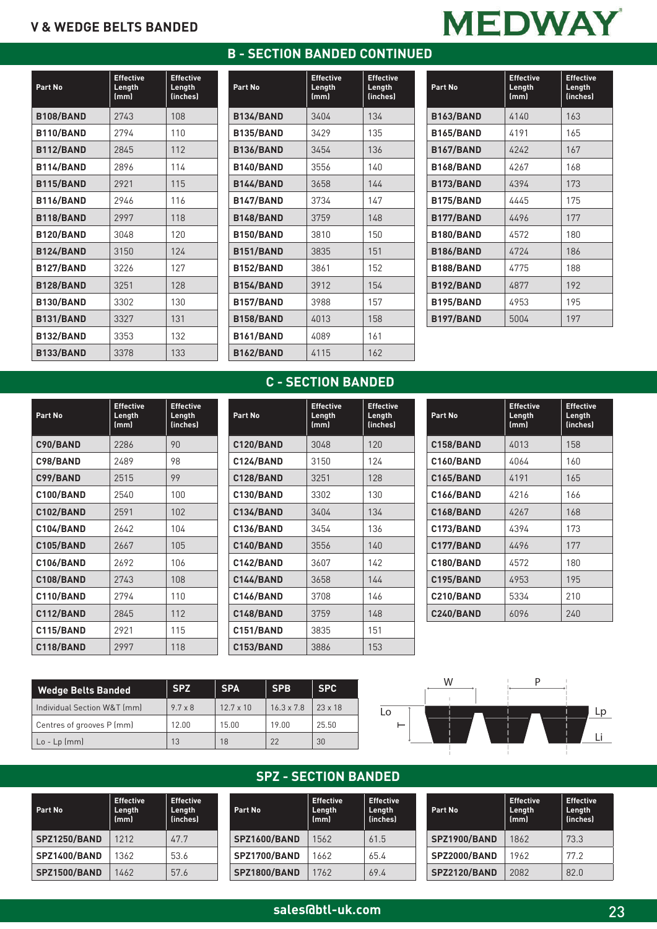#### **B - SECTION BANDED CONTINUED**

| Part No          | <b>Effective</b><br>Length<br>(mm) | <b>Effective</b><br>Length<br>(inches) |
|------------------|------------------------------------|----------------------------------------|
| B108/BAND        | 2743                               | 108                                    |
| B110/BAND        | 2794                               | 110                                    |
| <b>B112/BAND</b> | 2845                               | 112                                    |
| B114/BAND        | 2896                               | 114                                    |
| <b>B115/BAND</b> | 2921                               | 115                                    |
| B116/BAND        | 2946                               | 116                                    |
| B118/BAND        | 2997                               | 118                                    |
| B120/BAND        | 3048                               | 120                                    |
| <b>B124/BAND</b> | 3150                               | 124                                    |
| B127/BAND        | 3226                               | 127                                    |
| B128/BAND        | 3251                               | 128                                    |
| B130/BAND        | 3302                               | 130                                    |
| <b>B131/BAND</b> | 3327                               | 131                                    |
| B132/BAND        | 3353                               | 132                                    |
| <b>B133/BAND</b> | 3378                               | 133                                    |

| Part No          | <b>Effective</b><br>Length<br>(mm) | <b>Effective</b><br>Length<br>(inches) |
|------------------|------------------------------------|----------------------------------------|
| <b>B134/BAND</b> | 3404                               | 134                                    |
| <b>B135/BAND</b> | 3429                               | 135                                    |
| <b>B136/BAND</b> | 3454                               | 136                                    |
| B140/BAND        | 3556                               | 140                                    |
| <b>B144/BAND</b> | 3658                               | 144                                    |
| B147/BAND        | 3734                               | 147                                    |
| B148/BAND        | 3759                               | 148                                    |
| B150/BAND        | 3810                               | 150                                    |
| <b>B151/BAND</b> | 3835                               | 151                                    |
| B152/BAND        | 3861                               | 152                                    |
| <b>B154/BAND</b> | 3912                               | 154                                    |
| <b>B157/BAND</b> | 3988                               | 157                                    |
| <b>B158/BAND</b> | 4013                               | 158                                    |
| <b>B161/BAND</b> | 4089                               | 161                                    |
| <b>B162/BAND</b> | 4115                               | 162                                    |

| Part No          | <b>Effective</b><br>Length<br>(mm) | <b>Effective</b><br>Length<br>(inches) |
|------------------|------------------------------------|----------------------------------------|
| <b>B163/BAND</b> | 4140                               | 163                                    |
| <b>B165/BAND</b> | 4191                               | 165                                    |
| <b>B167/BAND</b> | 4242                               | 167                                    |
| <b>B168/BAND</b> | 4267                               | 168                                    |
| B173/BAND        | 4394                               | 173                                    |
| B175/BAND        | 4445                               | 175                                    |
| B177/BAND        | 4496                               | 177                                    |
| B180/BAND        | 4572                               | 180                                    |
| <b>B186/BAND</b> | 4724                               | 186                                    |
| B188/BAND        | 4775                               | 188                                    |
| B192/BAND        | 4877                               | 192                                    |
| B195/BAND        | 4953                               | 195                                    |
| B197/BAND        | 5004                               | 197                                    |

#### **C - SECTION BANDED**

**Effective Length (inches)**

| Part No          | <b>Effective</b><br>Length<br>(mm) | <b>Effective</b><br>Length<br>(inches) | Part No          | <b>Effective</b><br>Length<br>(mm) | Effec<br>Leng<br>(inch |
|------------------|------------------------------------|----------------------------------------|------------------|------------------------------------|------------------------|
| C90/BAND         | 2286                               | 90                                     | C120/BAND        | 3048                               | 120                    |
| C98/BAND         | 2489                               | 98                                     | C124/BAND        | 3150                               | 124                    |
| C99/BAND         | 2515                               | 99                                     | C128/BAND        | 3251                               | 128                    |
| C100/BAND        | 2540                               | 100                                    | <b>C130/BAND</b> | 3302                               | 130                    |
| C102/BAND        | 2591                               | 102                                    | <b>C134/BAND</b> | 3404                               | 134                    |
| C104/BAND        | 2642                               | 104                                    | <b>C136/BAND</b> | 3454                               | 136                    |
| <b>C105/BAND</b> | 2667                               | 105                                    | C140/BAND        | 3556                               | 140                    |
| <b>C106/BAND</b> | 2692                               | 106                                    | C142/BAND        | 3607                               | 142                    |
| C108/BAND        | 2743                               | 108                                    | C144/BAND        | 3658                               | 144                    |
| C110/BAND        | 2794                               | 110                                    | <b>C146/BAND</b> | 3708                               | 146                    |
| C112/BAND        | 2845                               | 112                                    | C148/BAND        | 3759                               | 148                    |
| C115/BAND        | 2921                               | 115                                    | C151/BAND        | 3835                               | 151                    |
| C118/BAND        | 2997                               | 118                                    | <b>C153/BAND</b> | 3886                               | 153                    |

| Part No          | <b>Effective</b><br>Length<br>(mm) | <b>Effective</b><br>Length<br>(inches) |
|------------------|------------------------------------|----------------------------------------|
| C158/BAND        | 4013                               | 158                                    |
| C160/BAND        | 4064                               | 160                                    |
| <b>C165/BAND</b> | 4191                               | 165                                    |
| <b>C166/BAND</b> | 4216                               | 166                                    |
| <b>C168/BAND</b> | 4267                               | 168                                    |
| C173/BAND        | 4394                               | 173                                    |
| C177/BAND        | 4496                               | 177                                    |
| C180/BAND        | 4572                               | 180                                    |
| C195/BAND        | 4953                               | 195                                    |
| C210/BAND        | 5334                               | 210                                    |
| <b>C240/BAND</b> | 6096                               | 240                                    |

| <b>Wedge Belts Banded</b>            | <b>SPZ</b>     | <b>SPA</b>       | <b>SPB</b>        | <b>SPC</b>     |
|--------------------------------------|----------------|------------------|-------------------|----------------|
| Individual Section W&T (mm)          | $9.7 \times 8$ | $12.7 \times 10$ | $16.3 \times 7.8$ | $23 \times 18$ |
| Centres of grooves P (mm)            | 12.00          | 15.00            | 19.00             | 25.50          |
| $\lfloor 0 - \lfloor p \rfloor$ [mm] | 13             | 18               | 22                | 30             |

**Part No**

**SPZ1250/BAND** 1212 **SPZ1400/BAND** 1362 **SPZ1500/BAND** | 1462

**Effective Length (mm)**



#### **SPZ - SECTION BANDED**

**Effective Length (inches)** 61.5 65.4 69.4

| <b>Effective</b><br>Length<br><i>(inches)</i> | Part No             | <b>Effective</b><br>Length<br>(mm) |
|-----------------------------------------------|---------------------|------------------------------------|
| 47.7                                          | <b>SPZ1600/BAND</b> | 1562                               |
| 53.6                                          | <b>SPZ1700/BAND</b> | 1662                               |
| 57.6                                          | <b>SPZ1800/BAND</b> | 1762                               |
|                                               |                     |                                    |

| Part No             | <b>Effective</b><br>Length<br>(mm) | <b>Effective</b><br>Length<br>(inches) |
|---------------------|------------------------------------|----------------------------------------|
| <b>SPZ1900/BAND</b> | 1862                               | 73.3                                   |
| <b>SPZ2000/BAND</b> | 1962                               | 77.2                                   |
| SPZ2120/BAND        | 2082                               | 82.0                                   |

|  |  | ÷ |  |
|--|--|---|--|
|  |  |   |  |

| C142/BAND        | 3607 | 142 |
|------------------|------|-----|
| C144/BAND        | 3658 | 144 |
| <b>C146/BAND</b> | 3708 | 146 |
| C148/BAND        | 3759 | 148 |
| C151/BAND        | 3835 | 151 |
| <b>C153/BAND</b> | 3886 | 153 |
|                  |      |     |